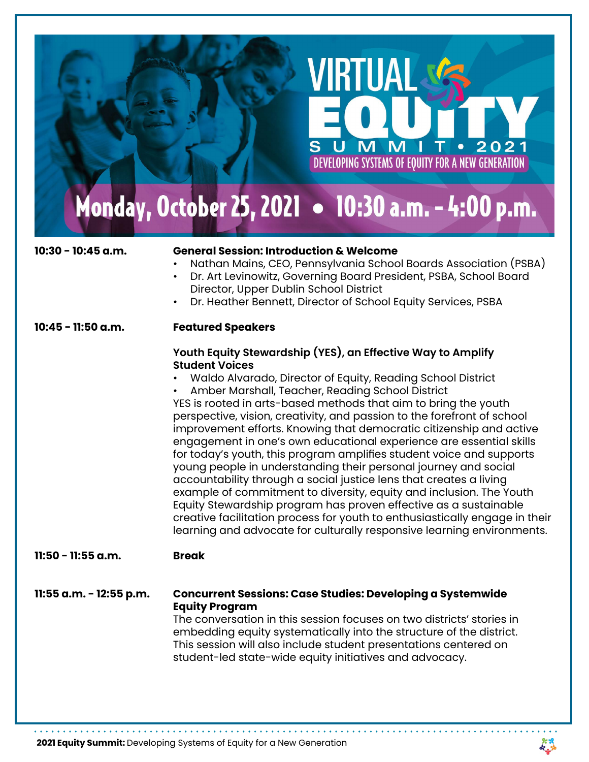# Monday, October 25, 2021 . 10:30 a.m. - 4:00 p.m.

S

# **10:30 - 10:45 a.m. General Session: Introduction & Welcome**

• Nathan Mains, CEO, Pennsylvania School Boards Association (PSBA)

VIRTUAI

2021

U. T

DEVELOPING SYSTEMS OF EQUITY FOR A NEW GENERATION

 $\bullet$ 

- Dr. Art Levinowitz, Governing Board President, PSBA, School Board Director, Upper Dublin School District
- Dr. Heather Bennett, Director of School Equity Services, PSBA

#### **10:45 - 11:50 a.m. Featured Speakers**

### **Youth Equity Stewardship (YES), an Effective Way to Amplify Student Voices**

• Waldo Alvarado, Director of Equity, Reading School District

• Amber Marshall, Teacher, Reading School District

YES is rooted in arts-based methods that aim to bring the youth perspective, vision, creativity, and passion to the forefront of school improvement efforts. Knowing that democratic citizenship and active engagement in one's own educational experience are essential skills for today's youth, this program amplifies student voice and supports young people in understanding their personal journey and social accountability through a social justice lens that creates a living example of commitment to diversity, equity and inclusion. The Youth Equity Stewardship program has proven effective as a sustainable creative facilitation process for youth to enthusiastically engage in their learning and advocate for culturally responsive learning environments.

### **11:50 - 11:55 a.m. Break**

**11:55 a.m. - 12:55 p.m. Concurrent Sessions: Case Studies: Developing a Systemwide Equity Program** 

 The conversation in this session focuses on two districts' stories in embedding equity systematically into the structure of the district. This session will also include student presentations centered on student-led state-wide equity initiatives and advocacy.

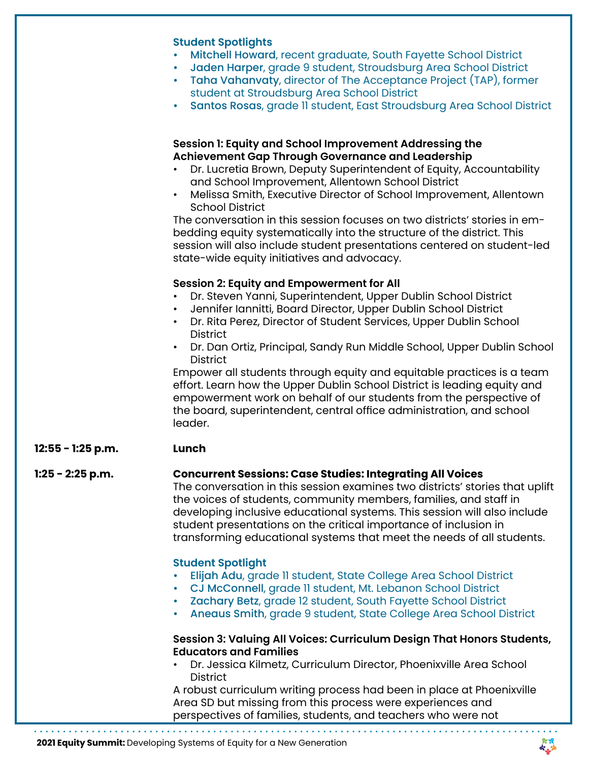|                     | <b>Student Spotlights</b><br>Mitchell Howard, recent graduate, South Fayette School District<br>Jaden Harper, grade 9 student, Stroudsburg Area School District<br>Taha Vahanvaty, director of The Acceptance Project (TAP), former<br>student at Stroudsburg Area School District<br>Santos Rosas, grade II student, East Stroudsburg Area School District<br>$\bullet$                                                                                                                                                                                                                                                                                                                              |
|---------------------|-------------------------------------------------------------------------------------------------------------------------------------------------------------------------------------------------------------------------------------------------------------------------------------------------------------------------------------------------------------------------------------------------------------------------------------------------------------------------------------------------------------------------------------------------------------------------------------------------------------------------------------------------------------------------------------------------------|
|                     | Session 1: Equity and School Improvement Addressing the<br>Achievement Gap Through Governance and Leadership<br>Dr. Lucretia Brown, Deputy Superintendent of Equity, Accountability<br>and School Improvement, Allentown School District<br>Melissa Smith, Executive Director of School Improvement, Allentown<br>$\bullet$<br><b>School District</b><br>The conversation in this session focuses on two districts' stories in em-<br>bedding equity systematically into the structure of the district. This<br>session will also include student presentations centered on student-led<br>state-wide equity initiatives and advocacy.                                                                |
|                     | <b>Session 2: Equity and Empowerment for All</b><br>Dr. Steven Yanni, Superintendent, Upper Dublin School District<br>Jennifer Iannitti, Board Director, Upper Dublin School District<br>Dr. Rita Perez, Director of Student Services, Upper Dublin School<br>$\bullet$<br><b>District</b><br>Dr. Dan Ortiz, Principal, Sandy Run Middle School, Upper Dublin School<br><b>District</b><br>Empower all students through equity and equitable practices is a team<br>effort. Learn how the Upper Dublin School District is leading equity and<br>empowerment work on behalf of our students from the perspective of<br>the board, superintendent, central office administration, and school<br>leader. |
| $12:55 - 1:25 p.m.$ | Lunch                                                                                                                                                                                                                                                                                                                                                                                                                                                                                                                                                                                                                                                                                                 |
| $1:25 - 2:25$ p.m.  | <b>Concurrent Sessions: Case Studies: Integrating All Voices</b><br>The conversation in this session examines two districts' stories that uplift<br>the voices of students, community members, families, and staff in<br>developing inclusive educational systems. This session will also include<br>student presentations on the critical importance of inclusion in<br>transforming educational systems that meet the needs of all students.                                                                                                                                                                                                                                                        |
|                     | <b>Student Spotlight</b><br>Elijah Adu, grade II student, State College Area School District<br>CJ McConnell, grade 11 student, Mt. Lebanon School District<br>Zachary Betz, grade 12 student, South Fayette School District<br>Aneaus Smith, grade 9 student, State College Area School District                                                                                                                                                                                                                                                                                                                                                                                                     |
|                     | Session 3: Valuing All Voices: Curriculum Design That Honors Students,<br><b>Educators and Families</b><br>Dr. Jessica Kilmetz, Curriculum Director, Phoenixville Area School<br><b>District</b>                                                                                                                                                                                                                                                                                                                                                                                                                                                                                                      |
|                     | A robust curriculum writing process had been in place at Phoenixville<br>Area SD but missing from this process were experiences and<br>perspectives of families, students, and teachers who were not                                                                                                                                                                                                                                                                                                                                                                                                                                                                                                  |